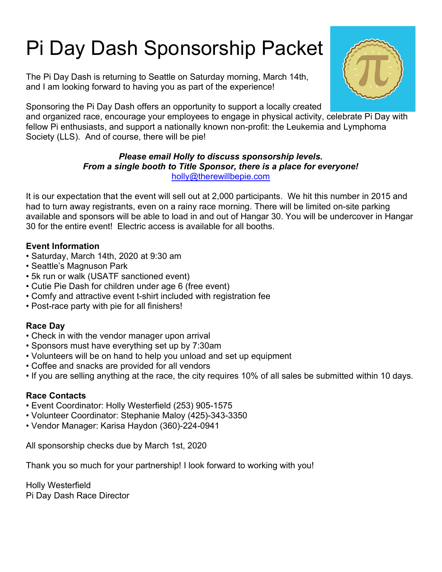# Pi Day Dash Sponsorship Packet

The Pi Day Dash is returning to Seattle on Saturday morning, March 14th, and I am looking forward to having you as part of the experience!

Sponsoring the Pi Day Dash offers an opportunity to support a locally created

and organized race, encourage your employees to engage in physical activity, celebrate Pi Day with fellow Pi enthusiasts, and support a nationally known non-profit: the Leukemia and Lymphoma Society (LLS). And of course, there will be pie!

#### Please email Holly to discuss sponsorship levels. From a single booth to Title Sponsor, there is a place for everyone! holly@therewillbepie.com

It is our expectation that the event will sell out at 2,000 participants. We hit this number in 2015 and had to turn away registrants, even on a rainy race morning. There will be limited on-site parking available and sponsors will be able to load in and out of Hangar 30. You will be undercover in Hangar 30 for the entire event! Electric access is available for all booths.

## Event Information

- Saturday, March 14th, 2020 at 9:30 am
- Seattle's Magnuson Park
- 5k run or walk (USATF sanctioned event)
- Cutie Pie Dash for children under age 6 (free event)
- Comfy and attractive event t-shirt included with registration fee
- Post-race party with pie for all finishers!

# Race Day

- Check in with the vendor manager upon arrival
- Sponsors must have everything set up by 7:30am
- Volunteers will be on hand to help you unload and set up equipment
- Coffee and snacks are provided for all vendors
- If you are selling anything at the race, the city requires 10% of all sales be submitted within 10 days.

### Race Contacts

- Event Coordinator: Holly Westerfield (253) 905-1575
- Volunteer Coordinator: Stephanie Maloy (425)-343-3350
- Vendor Manager: Karisa Haydon (360)-224-0941

All sponsorship checks due by March 1st, 2020

Thank you so much for your partnership! I look forward to working with you!

Holly Westerfield Pi Day Dash Race Director